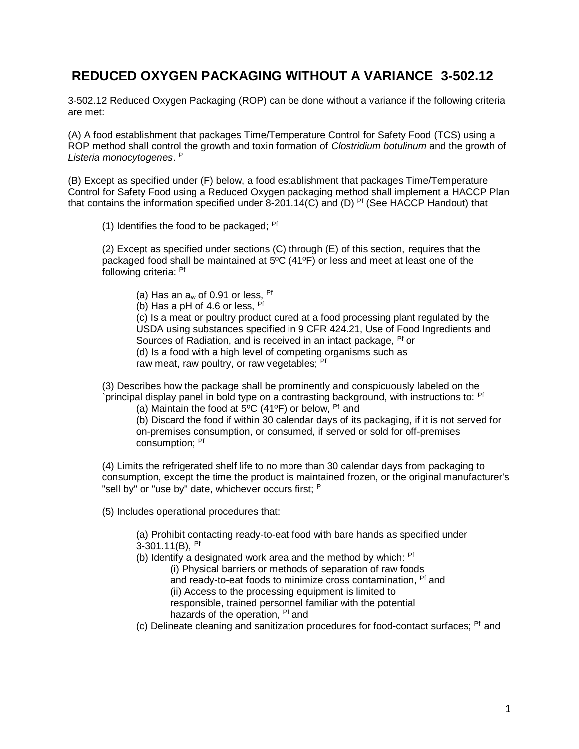## **REDUCED OXYGEN PACKAGING WITHOUT A VARIANCE 3-502.12**

3-502.12 Reduced Oxygen Packaging (ROP) can be done without a variance if the following criteria are met:

(A) A food establishment that packages Time/Temperature Control for Safety Food (TCS) using a ROP method shall control the growth and toxin formation of *Clostridium botulinum* and the growth of *Listeria monocytogenes*. P

(B) Except as specified under (F) below, a food establishment that packages Time/Temperature Control for Safety Food using a Reduced Oxygen packaging method shall implement a HACCP Plan that contains the information specified under  $8-201.14(C)$  and (D) <sup>Pf</sup> (See HACCP Handout) that

(1) Identifies the food to be packaged: <sup>Pf</sup>

(2) Except as specified under sections (C) through (E) of this section, requires that the packaged food shall be maintained at 5ºC (41ºF) or less and meet at least one of the following criteria: Pf

(a) Has an  $a_w$  of 0.91 or less, <sup>Pf</sup>

(b) Has a pH of 4.6 or less,  $Pf$ 

 (c) Is a meat or poultry product cured at a food processing plant regulated by the USDA using substances specified in 9 CFR 424.21, Use of Food Ingredients and Sources of Radiation, and is received in an intact package, <sup>Pf</sup> or (d) Is a food with a high level of competing organisms such as raw meat, raw poultry, or raw vegetables; <sup>Pf</sup>

(3) Describes how the package shall be prominently and conspicuously labeled on the `principal display panel in bold type on a contrasting background, with instructions to: Pf

(a) Maintain the food at  $5^{\circ}$ C (41°F) or below, <sup>Pf</sup> and

 (b) Discard the food if within 30 calendar days of its packaging, if it is not served for on-premises consumption, or consumed, if served or sold for off-premises consumption; Pf

(4) Limits the refrigerated shelf life to no more than 30 calendar days from packaging to consumption, except the time the product is maintained frozen, or the original manufacturer's "sell by" or "use by" date, whichever occurs first; P

(5) Includes operational procedures that:

(a) Prohibit contacting ready-to-eat food with bare hands as specified under  $3-301.11(B)$ , <sup>Pf</sup>

(b) Identify a designated work area and the method by which:  $Pf$ 

(i) Physical barriers or methods of separation of raw foods

and ready-to-eat foods to minimize cross contamination, <sup>Pf</sup> and

(ii) Access to the processing equipment is limited to

responsible, trained personnel familiar with the potential

- hazards of the operation, <sup>Pf</sup> and
- $(c)$  Delineate cleaning and sanitization procedures for food-contact surfaces;  $Pf$  and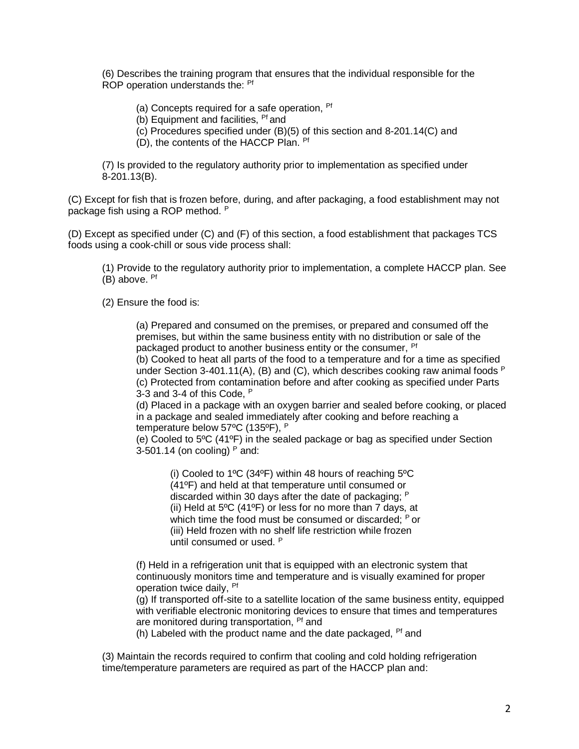(6) Describes the training program that ensures that the individual responsible for the ROP operation understands the: <sup>Pf</sup>

(a) Concepts required for a safe operation, <sup>Pf</sup>

(b) Equipment and facilities, <sup>Pf</sup> and

(c) Procedures specified under (B)(5) of this section and 8-201.14(C) and

(D), the contents of the HACCP Plan. Pf

(7) Is provided to the regulatory authority prior to implementation as specified under 8-201.13(B).

(C) Except for fish that is frozen before, during, and after packaging, a food establishment may not package fish using a ROP method. <sup>P</sup>

(D) Except as specified under (C) and (F) of this section, a food establishment that packages TCS foods using a cook-chill or sous vide process shall:

(1) Provide to the regulatory authority prior to implementation, a complete HACCP plan. See (B) above. Pf

(2) Ensure the food is:

(a) Prepared and consumed on the premises, or prepared and consumed off the premises, but within the same business entity with no distribution or sale of the packaged product to another business entity or the consumer, <sup>Pf</sup>

(b) Cooked to heat all parts of the food to a temperature and for a time as specified under Section 3-401.11(A), (B) and (C), which describes cooking raw animal foods  $P$ (c) Protected from contamination before and after cooking as specified under Parts 3-3 and 3-4 of this Code, <sup>P</sup>

(d) Placed in a package with an oxygen barrier and sealed before cooking, or placed in a package and sealed immediately after cooking and before reaching a temperature below 57ºC (135ºF), <sup>P</sup>

(e) Cooled to 5ºC (41ºF) in the sealed package or bag as specified under Section 3-501.14 (on cooling)  $P$  and:

(i) Cooled to 1ºC (34ºF) within 48 hours of reaching 5ºC (41ºF) and held at that temperature until consumed or discarded within 30 days after the date of packaging; <sup>P</sup> (ii) Held at 5ºC (41ºF) or less for no more than 7 days, at which time the food must be consumed or discarded: <sup>P</sup> or (iii) Held frozen with no shelf life restriction while frozen until consumed or used. <sup>P</sup>

(f) Held in a refrigeration unit that is equipped with an electronic system that continuously monitors time and temperature and is visually examined for proper operation twice daily, Pf

(g) If transported off-site to a satellite location of the same business entity, equipped with verifiable electronic monitoring devices to ensure that times and temperatures are monitored during transportation, <sup>Pf</sup> and

(h) Labeled with the product name and the date packaged,  $Pf$  and

(3) Maintain the records required to confirm that cooling and cold holding refrigeration time/temperature parameters are required as part of the HACCP plan and: